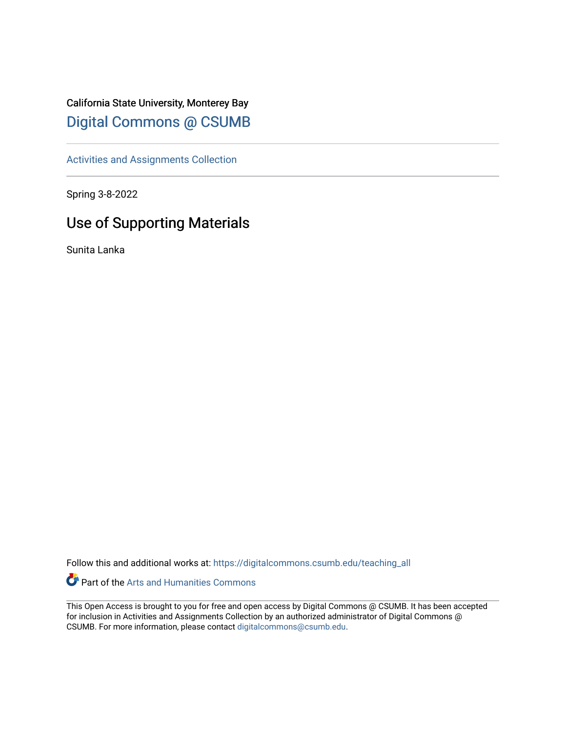## California State University, Monterey Bay [Digital Commons @ CSUMB](https://digitalcommons.csumb.edu/)

[Activities and Assignments Collection](https://digitalcommons.csumb.edu/teaching_all) 

Spring 3-8-2022

## Use of Supporting Materials

Sunita Lanka

Follow this and additional works at: [https://digitalcommons.csumb.edu/teaching\\_all](https://digitalcommons.csumb.edu/teaching_all?utm_source=digitalcommons.csumb.edu%2Fteaching_all%2F10&utm_medium=PDF&utm_campaign=PDFCoverPages) 

Part of the [Arts and Humanities Commons](http://network.bepress.com/hgg/discipline/438?utm_source=digitalcommons.csumb.edu%2Fteaching_all%2F10&utm_medium=PDF&utm_campaign=PDFCoverPages) 

This Open Access is brought to you for free and open access by Digital Commons @ CSUMB. It has been accepted for inclusion in Activities and Assignments Collection by an authorized administrator of Digital Commons @ CSUMB. For more information, please contact [digitalcommons@csumb.edu](mailto:digitalcommons@csumb.edu).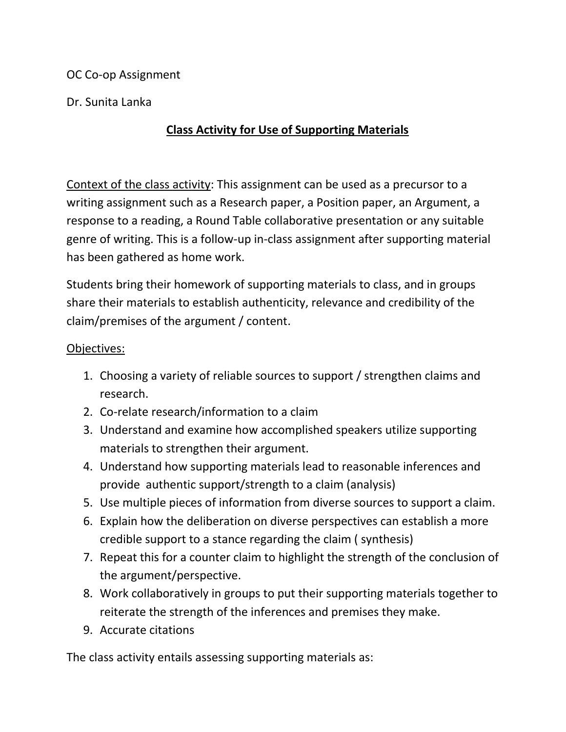OC Co-op Assignment

Dr. Sunita Lanka

## **Class Activity for Use of Supporting Materials**

Context of the class activity: This assignment can be used as a precursor to a writing assignment such as a Research paper, a Position paper, an Argument, a response to a reading, a Round Table collaborative presentation or any suitable genre of writing. This is a follow-up in-class assignment after supporting material has been gathered as home work.

Students bring their homework of supporting materials to class, and in groups share their materials to establish authenticity, relevance and credibility of the claim/premises of the argument / content.

## Objectives:

- 1. Choosing a variety of reliable sources to support / strengthen claims and research.
- 2. Co-relate research/information to a claim
- 3. Understand and examine how accomplished speakers utilize supporting materials to strengthen their argument.
- 4. Understand how supporting materials lead to reasonable inferences and provide authentic support/strength to a claim (analysis)
- 5. Use multiple pieces of information from diverse sources to support a claim.
- 6. Explain how the deliberation on diverse perspectives can establish a more credible support to a stance regarding the claim ( synthesis)
- 7. Repeat this for a counter claim to highlight the strength of the conclusion of the argument/perspective.
- 8. Work collaboratively in groups to put their supporting materials together to reiterate the strength of the inferences and premises they make.
- 9. Accurate citations

The class activity entails assessing supporting materials as: